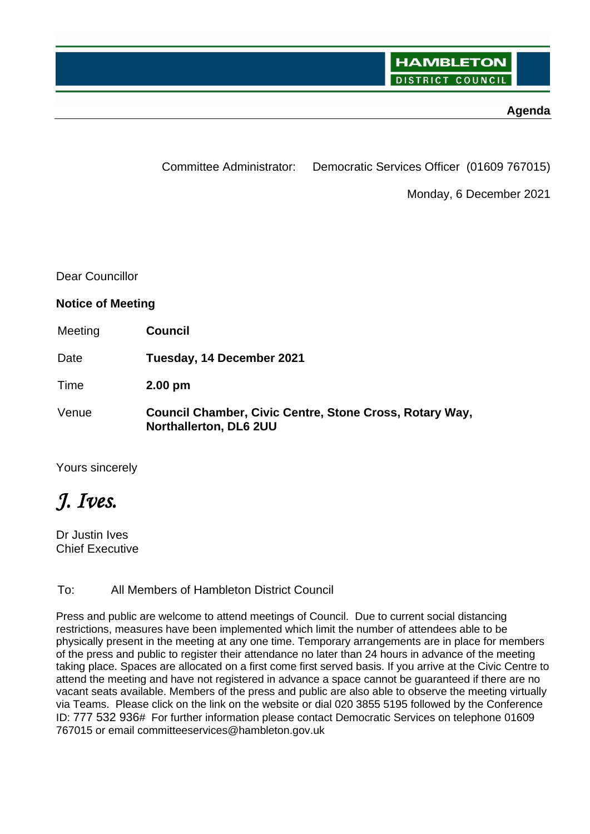## **Agenda**

Committee Administrator: Democratic Services Officer (01609 767015)

Monday, 6 December 2021

Dear Councillor

**Notice of Meeting**

Meeting **Council**

Date **Tuesday, 14 December 2021**

Time **2.00 pm**

Venue **Council Chamber, Civic Centre, Stone Cross, Rotary Way, Northallerton, DL6 2UU**

Yours sincerely

*J. Ives.*

Dr Justin Ives Chief Executive

To: All Members of Hambleton District Council

Press and public are welcome to attend meetings of Council. Due to current social distancing restrictions, measures have been implemented which limit the number of attendees able to be physically present in the meeting at any one time. Temporary arrangements are in place for members of the press and public to register their attendance no later than 24 hours in advance of the meeting taking place. Spaces are allocated on a first come first served basis. If you arrive at the Civic Centre to attend the meeting and have not registered in advance a space cannot be guaranteed if there are no vacant seats available. Members of the press and public are also able to observe the meeting virtually via Teams. Please click on the link on the website or dial 020 3855 5195 followed by the Conference ID: 777 532 936# For further information please contact Democratic Services on telephone 01609 767015 or email committeeservices@hambleton.gov.uk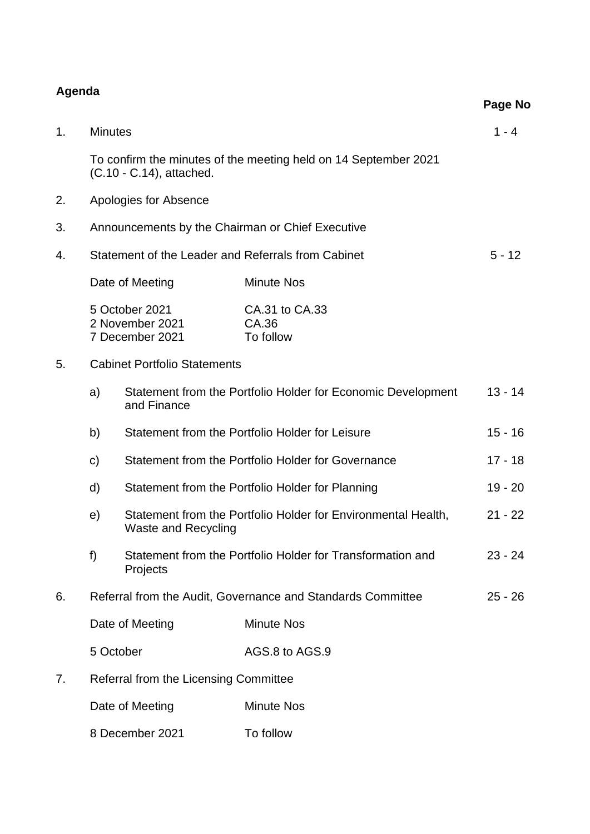## **Agenda**

|    |                                                                                                   |                                                      |                                      | Page No   |
|----|---------------------------------------------------------------------------------------------------|------------------------------------------------------|--------------------------------------|-----------|
| 1. | <b>Minutes</b>                                                                                    |                                                      |                                      | $1 - 4$   |
|    | To confirm the minutes of the meeting held on 14 September 2021<br>(C.10 - C.14), attached.       |                                                      |                                      |           |
| 2. | Apologies for Absence                                                                             |                                                      |                                      |           |
| 3. | Announcements by the Chairman or Chief Executive                                                  |                                                      |                                      |           |
| 4. | Statement of the Leader and Referrals from Cabinet                                                |                                                      |                                      | $5 - 12$  |
|    | Date of Meeting                                                                                   |                                                      | <b>Minute Nos</b>                    |           |
|    |                                                                                                   | 5 October 2021<br>2 November 2021<br>7 December 2021 | CA.31 to CA.33<br>CA.36<br>To follow |           |
| 5. | <b>Cabinet Portfolio Statements</b>                                                               |                                                      |                                      |           |
|    | Statement from the Portfolio Holder for Economic Development<br>a)<br>and Finance                 |                                                      | $13 - 14$                            |           |
|    | Statement from the Portfolio Holder for Leisure<br>b)                                             |                                                      | $15 - 16$                            |           |
|    | Statement from the Portfolio Holder for Governance<br>$\mathsf{c})$                               |                                                      |                                      | $17 - 18$ |
|    | d)<br>Statement from the Portfolio Holder for Planning                                            |                                                      |                                      | $19 - 20$ |
|    | Statement from the Portfolio Holder for Environmental Health,<br>e)<br><b>Waste and Recycling</b> |                                                      |                                      | $21 - 22$ |
|    | Statement from the Portfolio Holder for Transformation and<br>f)<br>Projects                      |                                                      | $23 - 24$                            |           |
| 6. | Referral from the Audit, Governance and Standards Committee                                       |                                                      |                                      | $25 - 26$ |
|    | Date of Meeting                                                                                   |                                                      | <b>Minute Nos</b>                    |           |
|    | 5 October                                                                                         |                                                      | AGS.8 to AGS.9                       |           |
| 7. | Referral from the Licensing Committee                                                             |                                                      |                                      |           |
|    | Date of Meeting                                                                                   |                                                      | <b>Minute Nos</b>                    |           |
|    |                                                                                                   |                                                      |                                      |           |

8 December 2021 To follow